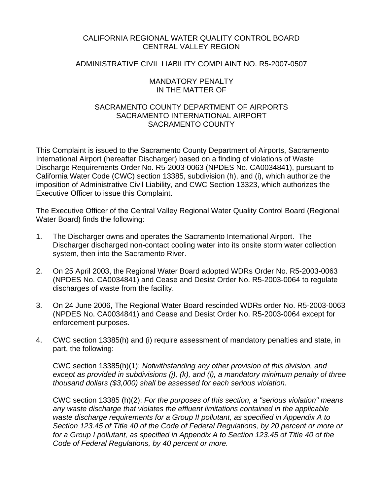## CALIFORNIA REGIONAL WATER QUALITY CONTROL BOARD CENTRAL VALLEY REGION

## ADMINISTRATIVE CIVIL LIABILITY COMPLAINT NO. R5-2007-0507

#### MANDATORY PENALTY IN THE MATTER OF

## SACRAMENTO COUNTY DEPARTMENT OF AIRPORTS SACRAMENTO INTERNATIONAL AIRPORT SACRAMENTO COUNTY

This Complaint is issued to the Sacramento County Department of Airports, Sacramento International Airport (hereafter Discharger) based on a finding of violations of Waste Discharge Requirements Order No. R5-2003-0063 (NPDES No. CA0034841), pursuant to California Water Code (CWC) section 13385, subdivision (h), and (i), which authorize the imposition of Administrative Civil Liability, and CWC Section 13323, which authorizes the Executive Officer to issue this Complaint.

The Executive Officer of the Central Valley Regional Water Quality Control Board (Regional Water Board) finds the following:

- 1. The Discharger owns and operates the Sacramento International Airport. The Discharger discharged non-contact cooling water into its onsite storm water collection system, then into the Sacramento River.
- 2. On 25 April 2003, the Regional Water Board adopted WDRs Order No. R5-2003-0063 (NPDES No. CA0034841) and Cease and Desist Order No. R5-2003-0064 to regulate discharges of waste from the facility.
- 3. On 24 June 2006, The Regional Water Board rescinded WDRs order No. R5-2003-0063 (NPDES No. CA0034841) and Cease and Desist Order No. R5-2003-0064 except for enforcement purposes.
- 4. CWC section 13385(h) and (i) require assessment of mandatory penalties and state, in part, the following:

CWC section 13385(h)(1): *Notwithstanding any other provision of this division, and except as provided in subdivisions (j), (k), and (l), a mandatory minimum penalty of three thousand dollars (\$3,000) shall be assessed for each serious violation.* 

CWC section 13385 (h)(2): *For the purposes of this section, a "serious violation" means any waste discharge that violates the effluent limitations contained in the applicable waste discharge requirements for a Group II pollutant, as specified in Appendix A to Section 123.45 of Title 40 of the Code of Federal Regulations, by 20 percent or more or*  for a Group I pollutant, as specified in Appendix A to Section 123.45 of Title 40 of the *Code of Federal Regulations, by 40 percent or more.*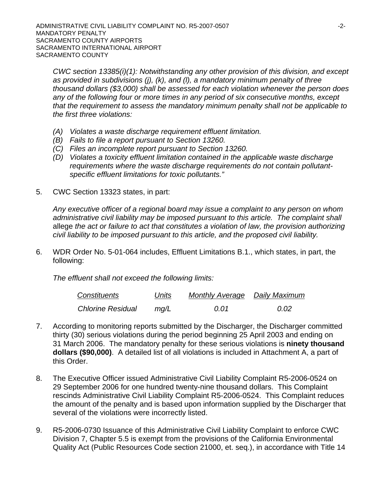*CWC section 13385(i)(1): Notwithstanding any other provision of this division, and except as provided in subdivisions (j), (k), and (l), a mandatory minimum penalty of three thousand dollars (\$3,000) shall be assessed for each violation whenever the person does any of the following four or more times in any period of six consecutive months, except that the requirement to assess the mandatory minimum penalty shall not be applicable to the first three violations:* 

- *(A) Violates a waste discharge requirement effluent limitation.*
- *(B) Fails to file a report pursuant to Section 13260.*
- *(C) Files an incomplete report pursuant to Section 13260.*
- *(D) Violates a toxicity effluent limitation contained in the applicable waste discharge requirements where the waste discharge requirements do not contain pollutantspecific effluent limitations for toxic pollutants."*
- 5. CWC Section 13323 states, in part:

*Any executive officer of a regional board may issue a complaint to any person on whom administrative civil liability may be imposed pursuant to this article. The complaint shall*  allege *the act or failure to act that constitutes a violation of law, the provision authorizing civil liability to be imposed pursuant to this article, and the proposed civil liability.* 

6. WDR Order No. 5-01-064 includes, Effluent Limitations B.1., which states, in part, the following:

*The effluent shall not exceed the following limits:* 

| Constituents             | Units | <b>Monthly Average</b> Daily Maximum |      |
|--------------------------|-------|--------------------------------------|------|
| <b>Chlorine Residual</b> | mq/L  | 0.01                                 | 0.02 |

- 7. According to monitoring reports submitted by the Discharger, the Discharger committed thirty (30) serious violations during the period beginning 25 April 2003 and ending on 31 March 2006. The mandatory penalty for these serious violations is **ninety thousand dollars (\$90,000)**. A detailed list of all violations is included in Attachment A, a part of this Order.
- 8. The Executive Officer issued Administrative Civil Liability Complaint R5-2006-0524 on 29 September 2006 for one hundred twenty-nine thousand dollars. This Complaint rescinds Administrative Civil Liability Complaint R5-2006-0524. This Complaint reduces the amount of the penalty and is based upon information supplied by the Discharger that several of the violations were incorrectly listed.
- 9. R5-2006-0730 Issuance of this Administrative Civil Liability Complaint to enforce CWC Division 7, Chapter 5.5 is exempt from the provisions of the California Environmental Quality Act (Public Resources Code section 21000, et. seq.), in accordance with Title 14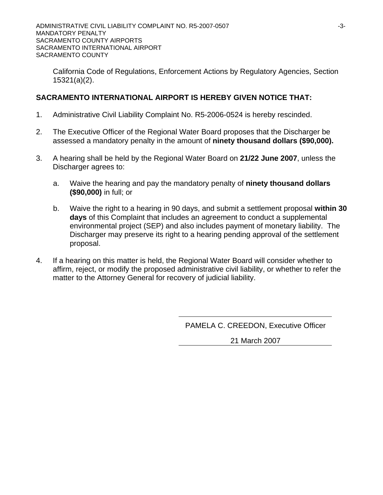California Code of Regulations, Enforcement Actions by Regulatory Agencies, Section 15321(a)(2).

## **SACRAMENTO INTERNATIONAL AIRPORT IS HEREBY GIVEN NOTICE THAT:**

- 1. Administrative Civil Liability Complaint No. R5-2006-0524 is hereby rescinded.
- 2. The Executive Officer of the Regional Water Board proposes that the Discharger be assessed a mandatory penalty in the amount of **ninety thousand dollars (\$90,000).**
- 3. A hearing shall be held by the Regional Water Board on **21/22 June 2007**, unless the Discharger agrees to:
	- a. Waive the hearing and pay the mandatory penalty of **ninety thousand dollars (\$90,000)** in full; or
	- b. Waive the right to a hearing in 90 days, and submit a settlement proposal **within 30 days** of this Complaint that includes an agreement to conduct a supplemental environmental project (SEP) and also includes payment of monetary liability. The Discharger may preserve its right to a hearing pending approval of the settlement proposal.
- 4. If a hearing on this matter is held, the Regional Water Board will consider whether to affirm, reject, or modify the proposed administrative civil liability, or whether to refer the matter to the Attorney General for recovery of judicial liability.

PAMELA C. CREEDON, Executive Officer

21 March 2007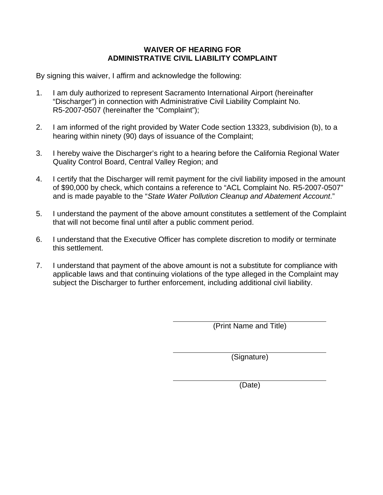## **WAIVER OF HEARING FOR ADMINISTRATIVE CIVIL LIABILITY COMPLAINT**

By signing this waiver, I affirm and acknowledge the following:

- 1. I am duly authorized to represent Sacramento International Airport (hereinafter "Discharger") in connection with Administrative Civil Liability Complaint No. R5-2007-0507 (hereinafter the "Complaint");
- 2. I am informed of the right provided by Water Code section 13323, subdivision (b), to a hearing within ninety (90) days of issuance of the Complaint;
- 3. I hereby waive the Discharger's right to a hearing before the California Regional Water Quality Control Board, Central Valley Region; and
- 4. I certify that the Discharger will remit payment for the civil liability imposed in the amount of \$90,000 by check, which contains a reference to "ACL Complaint No. R5-2007-0507" and is made payable to the "*State Water Pollution Cleanup and Abatement Account*."
- 5. I understand the payment of the above amount constitutes a settlement of the Complaint that will not become final until after a public comment period.
- 6. I understand that the Executive Officer has complete discretion to modify or terminate this settlement.
- 7. I understand that payment of the above amount is not a substitute for compliance with applicable laws and that continuing violations of the type alleged in the Complaint may subject the Discharger to further enforcement, including additional civil liability.

(Print Name and Title)

(Signature)

(Date)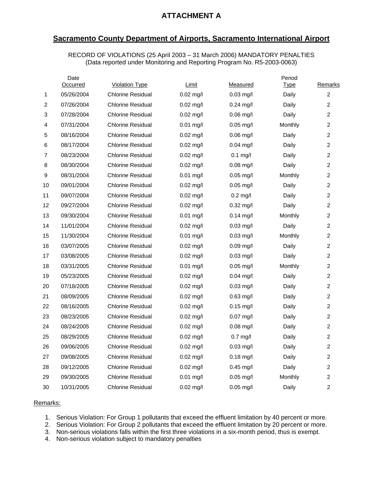## **ATTACHMENT A**

## **Sacramento County Department of Airports, Sacramento International Airport**

RECORD OF VIOLATIONS (25 April 2003 – 31 March 2006) MANDATORY PENALTIES (Data reported under Monitoring and Reporting Program No. R5-2003-0063)

|                | Date<br>Occurred | <b>Violation Type</b>    | Limit               | Measured            | Period<br>Type | Remarks        |
|----------------|------------------|--------------------------|---------------------|---------------------|----------------|----------------|
| 1              | 05/26/2004       | <b>Chlorine Residual</b> | $0.02$ mg/l         | $0.03$ mg/l         | Daily          | $\overline{2}$ |
| $\overline{2}$ | 07/26/2004       | <b>Chlorine Residual</b> | $0.02 \text{ mg/l}$ | $0.24$ mg/l         | Daily          | $\overline{c}$ |
| 3              | 07/28/2004       | <b>Chlorine Residual</b> | $0.02 \text{ mg/l}$ | $0.06$ mg/l         | Daily          | 2              |
| 4              | 07/31/2004       | <b>Chlorine Residual</b> | $0.01$ mg/l         | $0.05$ mg/l         | Monthly        | $\overline{c}$ |
| 5              | 08/16/2004       | <b>Chlorine Residual</b> | $0.02$ mg/l         | $0.06$ mg/l         | Daily          | $\overline{2}$ |
| 6              | 08/17/2004       | <b>Chlorine Residual</b> | $0.02$ mg/l         | $0.04$ mg/l         | Daily          | $\overline{c}$ |
| $\overline{7}$ | 08/23/2004       | <b>Chlorine Residual</b> | $0.02 \text{ mq/l}$ | $0.1$ mg/l          | Daily          | $\overline{2}$ |
| 8              | 08/30/2004       | <b>Chlorine Residual</b> | $0.02 \text{ mg/l}$ | $0.08$ mg/l         | Daily          | $\overline{c}$ |
| 9              | 08/31/2004       | Chlorine Residual        | $0.01$ mg/l         | $0.05$ mg/l         | Monthly        | $\overline{c}$ |
| 10             | 09/01/2004       | <b>Chlorine Residual</b> | $0.02 \text{ mg/l}$ | $0.05$ mg/l         | Daily          | $\overline{c}$ |
| 11             | 09/07/2004       | <b>Chlorine Residual</b> | $0.02 \text{ mg/l}$ | $0.2 \text{ mg/l}$  | Daily          | $\overline{c}$ |
| 12             | 09/27/2004       | <b>Chlorine Residual</b> | $0.02 \text{ mg/l}$ | $0.32 \text{ mg/l}$ | Daily          | 2              |
| 13             | 09/30/2004       | Chlorine Residual        | $0.01$ mg/l         | $0.14$ mg/l         | Monthly        | $\overline{c}$ |
| 14             | 11/01/2004       | <b>Chlorine Residual</b> | $0.02$ mg/l         | $0.03$ mg/l         | Daily          | $\overline{2}$ |
| 15             | 11/30/2004       | <b>Chlorine Residual</b> | $0.01$ mg/l         | $0.03$ mg/l         | Monthly        | $\overline{c}$ |
| 16             | 03/07/2005       | <b>Chlorine Residual</b> | $0.02 \text{ mg/l}$ | $0.09$ mg/l         | Daily          | $\overline{c}$ |
| 17             | 03/08/2005       | <b>Chlorine Residual</b> | $0.02 \text{ mg/l}$ | $0.03$ mg/l         | Daily          | $\overline{c}$ |
| 18             | 03/31/2005       | Chlorine Residual        | $0.01$ mg/l         | $0.05$ mg/l         | Monthly        | 2              |
| 19             | 05/23/2005       | <b>Chlorine Residual</b> | $0.02 \text{ mg/l}$ | $0.04$ mg/l         | Daily          | 2              |
| 20             | 07/18/2005       | <b>Chlorine Residual</b> | $0.02 \text{ mg/l}$ | $0.03$ mg/l         | Daily          | $\overline{c}$ |
| 21             | 08/09/2005       | <b>Chlorine Residual</b> | $0.02$ mg/l         | 0.63 mg/l           | Daily          | $\overline{2}$ |
| 22             | 08/16/2005       | <b>Chlorine Residual</b> | $0.02 \text{ mg/l}$ | $0.15$ mg/l         | Daily          | 2              |
| 23             | 08/23/2005       | <b>Chlorine Residual</b> | $0.02 \text{ mg/l}$ | $0.07$ mg/l         | Daily          | $\overline{c}$ |
| 24             | 08/24/2005       | <b>Chlorine Residual</b> | $0.02 \text{ mg/l}$ | $0.08$ mg/l         | Daily          | $\overline{c}$ |
| 25             | 08/29/2005       | <b>Chlorine Residual</b> | $0.02 \text{ mg/l}$ | $0.7$ mg/l          | Daily          | $\overline{2}$ |
| 26             | 09/06/2005       | <b>Chlorine Residual</b> | $0.02$ mg/l         | $0.03$ mg/l         | Daily          | 2              |
| 27             | 09/08/2005       | <b>Chlorine Residual</b> | $0.02 \text{ mg/l}$ | $0.18$ mg/l         | Daily          | 2              |
| 28             | 09/12/2005       | <b>Chlorine Residual</b> | $0.02$ mg/l         | $0.45$ mg/l         | Daily          | $\overline{c}$ |
| 29             | 09/30/2005       | <b>Chlorine Residual</b> | $0.01$ mg/l         | $0.05$ mg/l         | Monthly        | 2              |
| 30             | 10/31/2005       | <b>Chlorine Residual</b> | $0.02 \text{ mg/l}$ | $0.05$ mg/l         | Daily          | $\overline{2}$ |

#### Remarks:

1. Serious Violation: For Group 1 pollutants that exceed the effluent limitation by 40 percent or more.

2. Serious Violation: For Group 2 pollutants that exceed the effluent limitation by 20 percent or more.

3. Non-serious violations falls within the first three violations in a six-month period, thus is exempt.

4. Non-serious violation subject to mandatory penalties